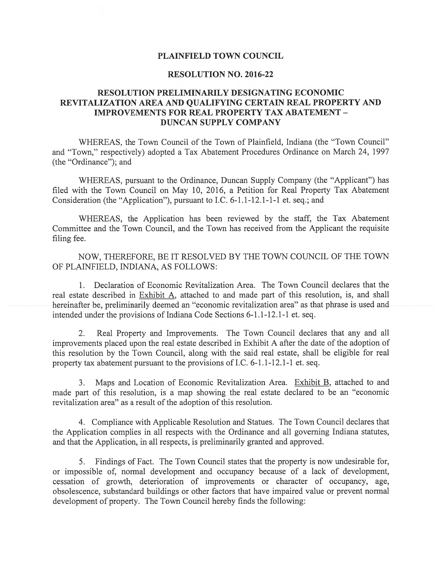### PLAINFIELD TOWN COUNCIL

#### RESOLUTION NO. 2016-22

### RESOLUTION PRELIMINARILY DESIGNATING ECONOMIC REVITALIZATION AREA AND QUALIFYING CERTAIN REAL PROPERTY AND IMPROVEMENTS FOR REAL PROPERTY TAX ABATEMENT - DUNCAN SUPPLY COMPANY

WHEREAS, the Town Council of the Town of Plainfield, Indiana (the "Town Council" and "Town," respectively) adopted <sup>a</sup> Tax Abatement Procedures Ordinance on March 24, 1997 (the "Ordinance"); and

WHEREAS, pursuan<sup>t</sup> to the Ordinance, Duncan Supply Company (the "Applicant") has filed with the Town Council on May 10, 2016, <sup>a</sup> Petition for Real Property Tax Abatement Consideration (the "Application"), pursuan<sup>t</sup> to I.C. 6-1.1-12.1-1-1 et. seq.; and

WHEREAS, the Application has been reviewed by the staff, the Tax Abatement Committee and the Town Council, and the Town has received from the Applicant the requisite filing fee.

NOW, THEREFORE, BE IT RESOLVED BY THE TOWN COUNCIL OF THE TOWN OF PLAINFIELD, fNDIANA, AS FOLLOWS:

1. Declaration of Economic Revitalization Area. The Town Council declares that the real estate described in Exhibit A, attached to and made par<sup>t</sup> of this resolution, is, and shall hereinafter be, preliminarily deemed an "economic revitalization area" as that phrase is used and intended under the provisions of Indiana Code Sections 6-1.1-12.1-1 et. seq.

2. Real Property and Improvements. The Town Council declares that any and all improvements placed upon the real estate described in Exhibit A after the date of the adoption of this resolution by the Town Council, along with the said real estate, shall be eligible for real property tax abatement pursuan<sup>t</sup> to the provisions of I.C. 6-1.1-12.1-1 et. seq.

3. Maps and Location of Economic Revitalization Area. Exhibit B, attached to and made par<sup>t</sup> of this resolution, is <sup>a</sup> map showing the real estate declared to be an "economic revitalization area" as <sup>a</sup> result of the adoption of this resolution.

4. Compliance with Applicable Resolution and Statues. The Town Council declares that the Application complies in all respects with the Ordinance and all governing Indiana statutes, and that the Application, in all respects, is preliminarily granted and approved.

5. Findings of Fact. The Town Council states that the property is now undesirable for, or impossible of, normal development and occupancy because of <sup>a</sup> lack of development, cessation of growth, deterioration of improvements or character of occupancy, age, obsolescence, substandard buildings or other factors that have impaired value or preven<sup>t</sup> normal development of property. The Town Council hereby finds the following: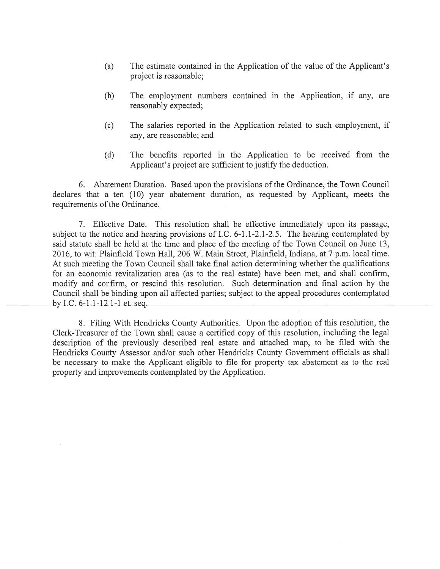- (a) The estimate contained in the Application of the value of the Applicant's project is reasonable;
- (b) The employment numbers contained in the Application, if any, are reasonably expected;
- (c) The salaries reported in the Application related to such employment, if any, are reasonable; and
- (d) The benefits reported in the Application to be received from the Applicant's project are sufficient to justify the deduction.

6. Abatement Duration. Based upon the provisions of the Ordinance, the Town Council declares that <sup>a</sup> ten (10) year abatement duration, as requested by Applicant, meets the requirements of the Ordinance.

7. Effective Date. This resolution shall be effective immediately upon its passage, subject to the notice and hearing provisions of I.C. 6-1.1-2.1-2.5. The hearing contemplated by said statute shall be held at the time and place of the meeting of the Town Council on June 13, 2016, to wit: Plainfield Town Hall, 206 W. Main Street, Plainfield, Indiana, at 7 p.m. local time. At such meeting the Town Council shall take final action determining whether the qualifications for an economic revitalization area (as to the real estate) have been met, and shall confirm, modify and confirm, or rescind this resolution. Such determination and final action by the Council shall be binding upon all affected parties; subject to the appeal procedures contemplated by I.C. 6-1.1-12.1-1 et. seq.

8. Filing With Hendricks County Authorities. Upon the adoption of this resolution, the Clerk-Treasurer of the Town shall cause <sup>a</sup> certified copy of this resolution, including the legal description of the previously described real estate and attached map, to be filed with the Hendricks County Assessor and/or such other Hendricks County Government officials as shall be necessary to make the Applicant eligible to file for property tax abatement as to the real property and improvements contemplated by the Application.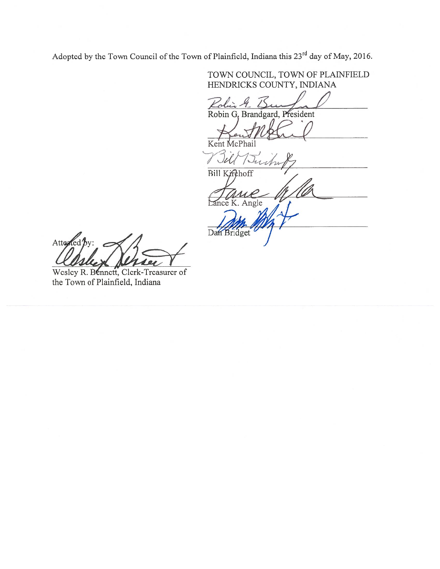Adopted by the Town Council of the Town of Plainfield, Indiana this 23<sup>rd</sup> day of May, 2016.

HENDRICKS COUNTY, INDIANA Robin Robin G, Brandgard, President Kent Bill Buch & **Bill** Angle Dan Bridget

TOWN COUNCIL, TOWN OF PLA1NFIELD

Attested by:

Wesley R. Bennett, Clerk-Treasurer of the Town of Plainfield, Indiana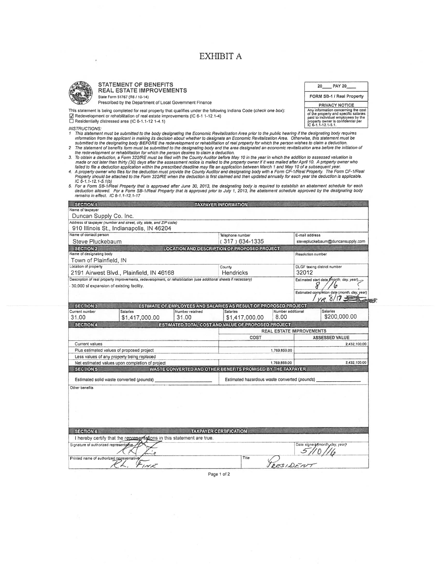### EXHIBIT A



| √ Redevelopment or rehabilitation of real estate improvement |  |  |
|--------------------------------------------------------------|--|--|
| Residentially distressed area (IC 6-1.1-12 1-4.1)            |  |  |

- INSTRUCTIONS:<br>In This statement must be submitted to the body designating the Economic Revitalization Area prior to the public hearing if the designating body requires<br>Information from the applicant in making its decision
- 
- 
- 
- The statement of benefits form must be submitted to the designating body and the area designated an economic revitalization area before the initiation of<br>the redevelopment or rehebilitation for which the person desires to
- 5. For a Form SB-1/Real Property that is approved after June 30, 2013, the designating body is required to establish an abatement schedule for each<br>deduction allowed. For a Form SB-1/Real Property that is approved prior to

|                                                                                                                                                                                                                                                                                                                                                                                                                                                                          | EXHIBIT A                                                                                                   |                                                                                                                                                                                 |
|--------------------------------------------------------------------------------------------------------------------------------------------------------------------------------------------------------------------------------------------------------------------------------------------------------------------------------------------------------------------------------------------------------------------------------------------------------------------------|-------------------------------------------------------------------------------------------------------------|---------------------------------------------------------------------------------------------------------------------------------------------------------------------------------|
|                                                                                                                                                                                                                                                                                                                                                                                                                                                                          |                                                                                                             |                                                                                                                                                                                 |
|                                                                                                                                                                                                                                                                                                                                                                                                                                                                          |                                                                                                             |                                                                                                                                                                                 |
| <b>STATEMENT OF BENEFITS</b><br><b>REAL ESTATE IMPROVEMENTS</b>                                                                                                                                                                                                                                                                                                                                                                                                          |                                                                                                             | 20<br><b>PAY 20</b>                                                                                                                                                             |
| State Form 51767 (R6 / 10-14)                                                                                                                                                                                                                                                                                                                                                                                                                                            |                                                                                                             | FORM SB-1 / Real Property                                                                                                                                                       |
| Prescribed by the Department of Local Government Finance                                                                                                                                                                                                                                                                                                                                                                                                                 |                                                                                                             | <b>PRIVACY NOTICE</b>                                                                                                                                                           |
| This statement is being completed for real property that qualifies under the following indiana Code (check one box):<br>Redevelopment or rehabilitation of real estate improvements (IC 6-1 1-12.1-4)<br>Residentially distressed area (IC 6-1.1-12 1-4.1)                                                                                                                                                                                                               |                                                                                                             | Any information concerning the cost<br>of the property and specific salaries<br>paid to individual employees by the<br>property owner is confidential per<br>IC 6-1.1-12.1-5.1. |
| <b>INSTRUCTIONS:</b><br>1 This statement must be submitted to the body designating the Economic Revitalization Area prior to the public hearing if the designating body requires                                                                                                                                                                                                                                                                                         |                                                                                                             |                                                                                                                                                                                 |
| information from the applicant in making its decision about whether to designate an Economic Revitalization Area. Otherwise, this statement must be<br>submitted to the designating body BEFORE the redevelopment or rehabilitation of real property for which the person wishes to claim a deduction.<br>The statement of benefits form must be submitted to the designating body and the area designated an economic revitalization area before the initiation of<br>2 |                                                                                                             |                                                                                                                                                                                 |
| the redevelopment or rehabilitation for which the person desires to claim a deduction.<br>3. To obtain a deduction, a Form 322/RE must be filed with the County Auditor before May 10 in the year in which the addition to assessed valuation is                                                                                                                                                                                                                         |                                                                                                             |                                                                                                                                                                                 |
| made or not later than thirty (30) days after the assessment notice is malled to the property owner if it was malled after April 10. A property owner who<br>failed to file a deduction application within the prescribed deadline may file an application between March 1 and May 10 of a subsequent year.                                                                                                                                                              |                                                                                                             |                                                                                                                                                                                 |
| 4. A property owner who files for the deduction must provide the County Auditor and designating body with a Form CF-1/Real Property. The Form CF-1/Real<br>Property should be attached to the Form 322/RE when the deduction is first claimed and then updated annually for each year the deduction is applicable.                                                                                                                                                       |                                                                                                             |                                                                                                                                                                                 |
| IC 6-1.1-12.1-5.1(b)<br>5. For a Form SB-1/Real Property that is approved after June 30, 2013, the designating body is required to establish an abatement schedule for each                                                                                                                                                                                                                                                                                              |                                                                                                             |                                                                                                                                                                                 |
| deduction allowed. For a Form SB-1/Real Property that is approved prior to July 1, 2013, the abatement schedule approved by the designating body<br>remains in effect. IC 6-1.1-12.1-17                                                                                                                                                                                                                                                                                  |                                                                                                             |                                                                                                                                                                                 |
| <b>SECTION 1</b>                                                                                                                                                                                                                                                                                                                                                                                                                                                         | <b>TAXPAYER INFORMATION</b>                                                                                 |                                                                                                                                                                                 |
| Name of taxpayer<br>Duncan Supply Co. Inc.                                                                                                                                                                                                                                                                                                                                                                                                                               |                                                                                                             |                                                                                                                                                                                 |
| Address of taxpayer (number and street, city, state, and ZIP code)                                                                                                                                                                                                                                                                                                                                                                                                       |                                                                                                             |                                                                                                                                                                                 |
| 910 Illinois St., Indianapolis, IN 46204<br>Name of contact person                                                                                                                                                                                                                                                                                                                                                                                                       | Telephone number                                                                                            | E-mail address                                                                                                                                                                  |
| Steve Pluckebaum                                                                                                                                                                                                                                                                                                                                                                                                                                                         | (317) 634-1335                                                                                              | stevepluckebaum@duncansupply.com                                                                                                                                                |
| <b>SECTION 2</b><br>Name of designating body                                                                                                                                                                                                                                                                                                                                                                                                                             | <b>LOCATION AND DESCRIPTION OF PROPOSED PROJECT</b>                                                         | Resolution number                                                                                                                                                               |
| Town of Plainfield, IN                                                                                                                                                                                                                                                                                                                                                                                                                                                   |                                                                                                             |                                                                                                                                                                                 |
| Location of property<br>2191 Airwest Blvd., Plainfield, IN 46168                                                                                                                                                                                                                                                                                                                                                                                                         | County<br>Hendricks                                                                                         | <b>DLGF</b> taxing district number<br>32012                                                                                                                                     |
| Description of real property improvements, redevelopment, or rehabilitation (use additional sheets if necessary)                                                                                                                                                                                                                                                                                                                                                         |                                                                                                             | Estimated start date (month, day, year),                                                                                                                                        |
| 30,000 sf expansion of existing facility.                                                                                                                                                                                                                                                                                                                                                                                                                                |                                                                                                             | ð<br>Ø<br>Estimated completion date (month, day, year)                                                                                                                          |
|                                                                                                                                                                                                                                                                                                                                                                                                                                                                          |                                                                                                             |                                                                                                                                                                                 |
|                                                                                                                                                                                                                                                                                                                                                                                                                                                                          |                                                                                                             | $yR.8/17 =$                                                                                                                                                                     |
| <b>SECTION 3</b>                                                                                                                                                                                                                                                                                                                                                                                                                                                         | ESTIMATE OF EMPLOYEES AND SALARIES AS RESULT OF PROPOSED PROJECT                                            |                                                                                                                                                                                 |
| Current number<br><b>Salaries</b><br>Number retained<br>31.00<br>31.00<br>\$1,417,000.00                                                                                                                                                                                                                                                                                                                                                                                 | Number additional<br><b>Salaries</b><br>8.00<br>\$1,417,000.00                                              | <b>Salaries</b><br>\$200,000.00                                                                                                                                                 |
| <b>SECTION 4</b>                                                                                                                                                                                                                                                                                                                                                                                                                                                         | ESTIMATED TOTAL COST AND VALUE OF PROPOSED PROJECT                                                          |                                                                                                                                                                                 |
|                                                                                                                                                                                                                                                                                                                                                                                                                                                                          | <b>REAL ESTATE IMPROVEMENTS</b><br>COST                                                                     | ASSESSED VALUE                                                                                                                                                                  |
| Current values                                                                                                                                                                                                                                                                                                                                                                                                                                                           |                                                                                                             | 2,432,100.00                                                                                                                                                                    |
| Plus estimated values of proposed project<br>Less values of any property being replaced                                                                                                                                                                                                                                                                                                                                                                                  | 1,769,859.00                                                                                                |                                                                                                                                                                                 |
| Net estimated values upon completion of project                                                                                                                                                                                                                                                                                                                                                                                                                          | 1,769,859.00                                                                                                | 2,432,100.00                                                                                                                                                                    |
| <b>SECTION 5</b>                                                                                                                                                                                                                                                                                                                                                                                                                                                         | WASTE CONVERTED AND OTHER BENEFITS PROMISED BY THE TAXPAYER<br>Estimated hazardous waste converted (pounds) |                                                                                                                                                                                 |
| Estimated solid waste converted (pounds) _<br>Other benefits                                                                                                                                                                                                                                                                                                                                                                                                             |                                                                                                             |                                                                                                                                                                                 |
|                                                                                                                                                                                                                                                                                                                                                                                                                                                                          |                                                                                                             |                                                                                                                                                                                 |
|                                                                                                                                                                                                                                                                                                                                                                                                                                                                          |                                                                                                             |                                                                                                                                                                                 |
|                                                                                                                                                                                                                                                                                                                                                                                                                                                                          |                                                                                                             |                                                                                                                                                                                 |
|                                                                                                                                                                                                                                                                                                                                                                                                                                                                          |                                                                                                             |                                                                                                                                                                                 |
| <b>SECTION 6</b>                                                                                                                                                                                                                                                                                                                                                                                                                                                         | <b>TAXPAYER CERTIFICATION</b>                                                                               |                                                                                                                                                                                 |
| I hereby certify that the representations in this statement are true.<br>Signature of authorized representative                                                                                                                                                                                                                                                                                                                                                          |                                                                                                             | Date signed (month day, year)                                                                                                                                                   |
| Printed name of authorized representative                                                                                                                                                                                                                                                                                                                                                                                                                                | Title                                                                                                       |                                                                                                                                                                                 |

Page 1 of 2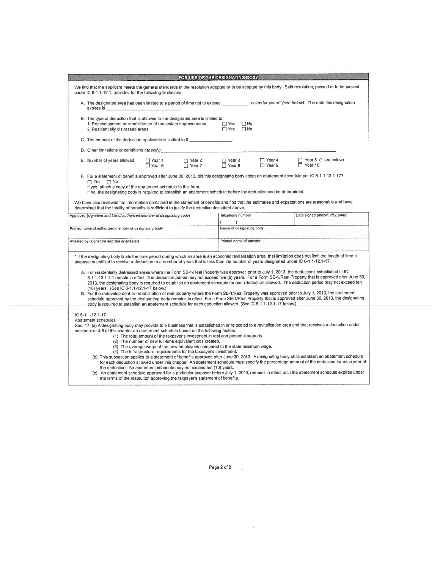|                                                                                                                                                                                                                                                                                                                                                                                                                                                                                                                                                                                                                                                                                                                                                                                                                                                                                                                                                                                                                                                                                                                                                                                                              | FOR USE OF THE DESIGNATING BODY      |                                              |                      |                |                                |
|--------------------------------------------------------------------------------------------------------------------------------------------------------------------------------------------------------------------------------------------------------------------------------------------------------------------------------------------------------------------------------------------------------------------------------------------------------------------------------------------------------------------------------------------------------------------------------------------------------------------------------------------------------------------------------------------------------------------------------------------------------------------------------------------------------------------------------------------------------------------------------------------------------------------------------------------------------------------------------------------------------------------------------------------------------------------------------------------------------------------------------------------------------------------------------------------------------------|--------------------------------------|----------------------------------------------|----------------------|----------------|--------------------------------|
| We find that the applicant meets the general standards in the resolution adopted or to be adopted by this body. Sald resolution, passed or to be passed<br>under IC 6-1.1-12.1, provides for the following limitations:                                                                                                                                                                                                                                                                                                                                                                                                                                                                                                                                                                                                                                                                                                                                                                                                                                                                                                                                                                                      |                                      |                                              |                      |                |                                |
| A. The designated area has been limited to a period of time not to exceed calendar years* (see below). The date this designation<br>expires is the contract of the contract of the contract of the contract of the contract of the contract of the                                                                                                                                                                                                                                                                                                                                                                                                                                                                                                                                                                                                                                                                                                                                                                                                                                                                                                                                                           |                                      |                                              |                      |                |                                |
| B. The type of deduction that is allowed in the designated area is limited to:<br>1. Redevelopment or rehabilitation of real estate improvements<br>2. Residentially distressed areas                                                                                                                                                                                                                                                                                                                                                                                                                                                                                                                                                                                                                                                                                                                                                                                                                                                                                                                                                                                                                        |                                      | $\Box$ Yes $\Box$ No<br>$\Box$ Yes $\Box$ No |                      |                |                                |
| C. The amount of the deduction applicable is limited to \$                                                                                                                                                                                                                                                                                                                                                                                                                                                                                                                                                                                                                                                                                                                                                                                                                                                                                                                                                                                                                                                                                                                                                   |                                      |                                              |                      |                |                                |
| D. Other limitations or conditions (specify)                                                                                                                                                                                                                                                                                                                                                                                                                                                                                                                                                                                                                                                                                                                                                                                                                                                                                                                                                                                                                                                                                                                                                                 |                                      |                                              |                      |                |                                |
| E. Number of years allowed:<br>□ Year 1<br>$\Box$ Year 6                                                                                                                                                                                                                                                                                                                                                                                                                                                                                                                                                                                                                                                                                                                                                                                                                                                                                                                                                                                                                                                                                                                                                     | O Year 2 O Year 3<br>Year 7 O Year 8 |                                              | □ Year 4<br>□ Year 9 | $\Box$ Year 10 | Year 5 (* see below)           |
| If no, the designating body is required to establish an abatement schedule before the deduction can be determined.<br>We have also reviewed the Information contained in the statement of benefits and find that the estimates and expectations are reasonable and have<br>determined that the totality of benefits is sufficient to justify the deduction described above.<br>Approved (signature and title of authorized member of designating body)                                                                                                                                                                                                                                                                                                                                                                                                                                                                                                                                                                                                                                                                                                                                                       |                                      | Telephone number                             |                      |                | Date signed (month, day, year) |
|                                                                                                                                                                                                                                                                                                                                                                                                                                                                                                                                                                                                                                                                                                                                                                                                                                                                                                                                                                                                                                                                                                                                                                                                              |                                      | )                                            |                      |                |                                |
| Printed name of authorized member of designating body                                                                                                                                                                                                                                                                                                                                                                                                                                                                                                                                                                                                                                                                                                                                                                                                                                                                                                                                                                                                                                                                                                                                                        |                                      | Name of designating body                     |                      |                |                                |
| Attested by (signature and title of attester)                                                                                                                                                                                                                                                                                                                                                                                                                                                                                                                                                                                                                                                                                                                                                                                                                                                                                                                                                                                                                                                                                                                                                                |                                      | Printed name of attester                     |                      |                |                                |
| * If the designating body limits the time period during which an area is an economic revitalization area, that limitation does not limit the length of time a<br>taxpayer is entitled to receive a deduction to a number of years that is less than the number of years designated under IC 6-1.1-12.1-17.                                                                                                                                                                                                                                                                                                                                                                                                                                                                                                                                                                                                                                                                                                                                                                                                                                                                                                   |                                      |                                              |                      |                |                                |
| A. For residentially distressed areas where the Form SB-1/Real Property was approved prior to July 1, 2013, the deductions established in IC<br>6-1.1-12.1-4.1 remain in effect. The deduction period may not exceed five (5) years. For a Form SB-1/Real Property that is approved after June 30,<br>2013, the designating body is required to establish an abatement schedule for each deduction allowed. The deduction period may not exceed ten<br>(10) years. (See IC 6-1.1-12.1-17 below.)<br>B. For the redevelopment or rehabilitation of real property where the Form SB-1/Real Property was approved prior to July 1, 2013, the abatement<br>schedule approved by the designating body remains in effect. For a Form SB-1/Real Property that is approved after June 30, 2013, the designating<br>body is required to establish an abatement schedule for each deduction allowed. (See IC 6-1.1-12.1-17 below.)                                                                                                                                                                                                                                                                                     |                                      |                                              |                      |                |                                |
| IC 6-1.1-12.1-17<br>Abatement schedules<br>Sec. 17. (a) A designating body may provide to a business that is established in or relocated to a revitalization area and that receives a deduction under<br>section 4 or 4.5 of this chapter an abatement schedule based on the following factors:<br>(1) The total amount of the taxpayer's investment in real and personal property.<br>(2) The number of new full-time equivalent jobs created.<br>(3) The average wage of the new employees compared to the state minimum wage.<br>(4) The infrastructure requirements for the taxpayer's investment.<br>(b) This subsection applies to a statement of benefits approved after June 30, 2013. A designating body shall establish an abatement schedule<br>for each deduction allowed under this chapter. An abatement schedule must specify the percentage amount of the deduction for each year of<br>the deduction. An abatement schedule may not exceed ten (10) years.<br>(c) An abatement schedule approved for a particular taxpayer before July 1, 2013, remains in effect until the abatement schedule expires under<br>the terms of the resolution approving the taxpayer's statement of benefits. |                                      |                                              |                      |                |                                |

Page 2 of 2

 $\overline{X}$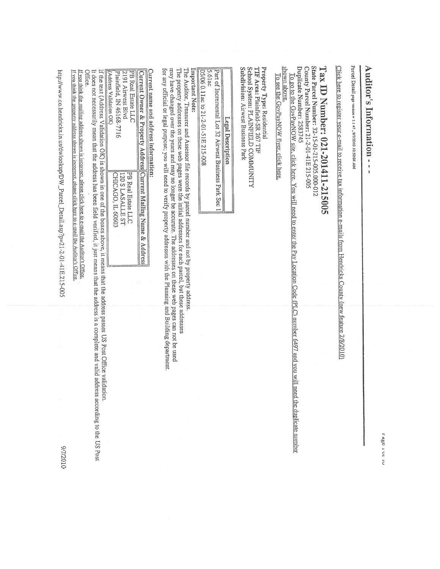ra i Ut a

# Auditors Information

parcel Detail pc vcrston  $141$ 010Z/L/6 IO:5004 AM

Click here to register your e-mail to receive tax information e-mails from Hendricks County (new feature 2/8/2010)

## Tax ID Number: 021-201411-215005

State Parcel Number: 32-15-01-215-005.000-012 County Parcel Number: 21-2-0l-41E 215-005 Duplicate Number: 2583745 Too to the GuvPayNOW site, click here. You  $\mathbb{H}^{\kappa}$ need to enter the Pay Location Code  $\overline{\text{C}}$ number 6497 and you will need the above.

duplicate

nmober

shown To see the GovPayNOW flyer. click here.

Property Type: Residential hf Area: Piainficld-SR 267 TIF School System: PLAINFIELD COMMUNITY Subdivision: Airwest Business Park

| Legal Description                                      |
|--------------------------------------------------------|
| Part of Incremental Lot 32 Airwest Business Park Sec 1 |
| $5.61$ ac                                              |
| 05/06 0.11ac to 21-2-01-51E 215-008                    |

Important Important Note:

The Auditor, Treasurer E<br>P Assessor file records হ parcel number  $\overline{a}$ not by property address.

The property addresses  $\Xi$ these web pages were the initial addresses for each parcel,  $\Xi$ these addresses may have changed over the years E<br>P may  $\vec{c}$ longer be accurate. The addresses on these web pages can not be used for any official or legal pUrpOSe you will need to verify property addresses with the Planning and Building department.

### Current name and address information:

| Current Owner & Property Address Current Mailing Name & Address |                                      |
|-----------------------------------------------------------------|--------------------------------------|
| [2191 Airwest Blvd<br><b>IPB</b> Real Estate LLC                | IS ELASALLE ST<br>PB Real Estate LLC |
| <b>KAddress Validation OK)</b><br>[Plainfield, IN 46168-7716]   | CHICAGO, IL 60602                    |

 $\overline{a}$ the text (Address Validation OK) is shown in one  $\tilde{r}$ the boxes above, it means that the address passes US Post Office validation. address and valid

It does not necessarily mean that the address has been field verified, it just means that the s a complete address according to the US Post Office.

If you think  $\overline{5}$ nadine address shown s incorrect, olease click here to e-mail  $\frac{1}{2}$ Au/itcr's Offtce. If you think the propctv address shotvn is incorrcct. please click here to c-mail the Auditor's Offcc.

http://www.co.hendricks.in.us/dwiookup/DW\_Parcel\_Detail.asp?p=21-2-0 $\frac{1}{4}$ E.21 5-005

0102010